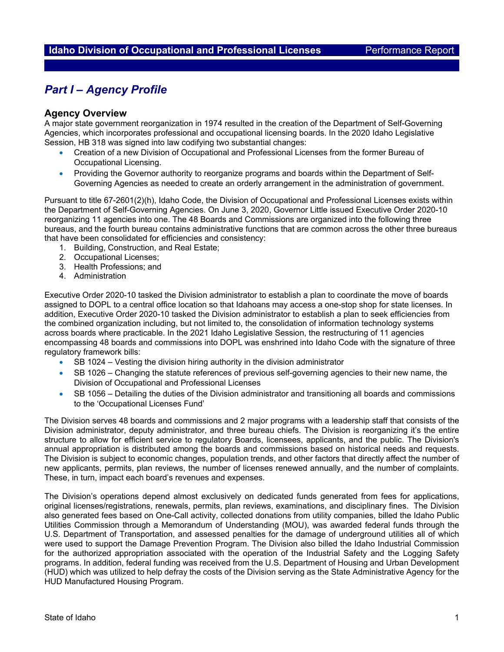## *Part I – Agency Profile*

#### **Agency Overview**

A major state government reorganization in 1974 resulted in the creation of the Department of Self-Governing Agencies, which incorporates professional and occupational licensing boards. In the 2020 Idaho Legislative Session, HB 318 was signed into law codifying two substantial changes:

- Creation of a new Division of Occupational and Professional Licenses from the former Bureau of Occupational Licensing.
- Providing the Governor authority to reorganize programs and boards within the Department of Self-Governing Agencies as needed to create an orderly arrangement in the administration of government.

Pursuant to title 67-2601(2)(h), Idaho Code, the Division of Occupational and Professional Licenses exists within the Department of Self-Governing Agencies. On June 3, 2020, Governor Little issued Executive Order 2020-10 reorganizing 11 agencies into one. The 48 Boards and Commissions are organized into the following three bureaus, and the fourth bureau contains administrative functions that are common across the other three bureaus that have been consolidated for efficiencies and consistency:

- 1. Building, Construction, and Real Estate;
- 2. Occupational Licenses;
- 3. Health Professions; and
- 4. Administration

Executive Order 2020-10 tasked the Division administrator to establish a plan to coordinate the move of boards assigned to DOPL to a central office location so that Idahoans may access a one-stop shop for state licenses. In addition, Executive Order 2020-10 tasked the Division administrator to establish a plan to seek efficiencies from the combined organization including, but not limited to, the consolidation of information technology systems across boards where practicable. In the 2021 Idaho Legislative Session, the restructuring of 11 agencies encompassing 48 boards and commissions into DOPL was enshrined into Idaho Code with the signature of three regulatory framework bills:

- SB 1024 Vesting the division hiring authority in the division administrator
- SB 1026 Changing the statute references of previous self-governing agencies to their new name, the Division of Occupational and Professional Licenses
- SB 1056 Detailing the duties of the Division administrator and transitioning all boards and commissions to the 'Occupational Licenses Fund'

The Division serves 48 boards and commissions and 2 major programs with a leadership staff that consists of the Division administrator, deputy administrator, and three bureau chiefs. The Division is reorganizing it's the entire structure to allow for efficient service to regulatory Boards, licensees, applicants, and the public. The Division's annual appropriation is distributed among the boards and commissions based on historical needs and requests. The Division is subject to economic changes, population trends, and other factors that directly affect the number of new applicants, permits, plan reviews, the number of licenses renewed annually, and the number of complaints. These, in turn, impact each board's revenues and expenses.

The Division's operations depend almost exclusively on dedicated funds generated from fees for applications, original licenses/registrations, renewals, permits, plan reviews, examinations, and disciplinary fines. The Division also generated fees based on One-Call activity, collected donations from utility companies, billed the Idaho Public Utilities Commission through a Memorandum of Understanding (MOU), was awarded federal funds through the U.S. Department of Transportation, and assessed penalties for the damage of underground utilities all of which were used to support the Damage Prevention Program. The Division also billed the Idaho Industrial Commission for the authorized appropriation associated with the operation of the Industrial Safety and the Logging Safety programs. In addition, federal funding was received from the U.S. Department of Housing and Urban Development (HUD) which was utilized to help defray the costs of the Division serving as the State Administrative Agency for the HUD Manufactured Housing Program.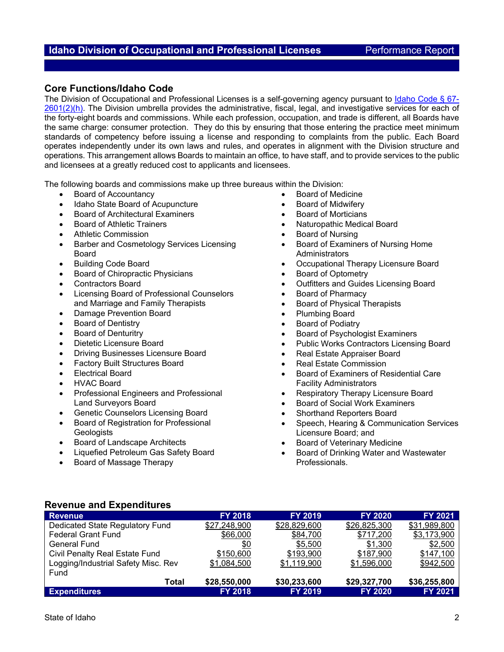## **Core Functions/Idaho Code**

The Division of Occupational and Professional Licenses is a self-governing agency pursuant to Idaho Code § 67-2601(2)(h). The Division umbrella provides the administrative, fiscal, legal, and investigative services for each of the forty-eight boards and commissions. While each profession, occupation, and trade is different, all Boards have the same charge: consumer protection. They do this by ensuring that those entering the practice meet minimum standards of competency before issuing a license and responding to complaints from the public. Each Board operates independently under its own laws and rules, and operates in alignment with the Division structure and operations. This arrangement allows Boards to maintain an office, to have staff, and to provide services to the public and licensees at a greatly reduced cost to applicants and licensees.

The following boards and commissions make up three bureaus within the Division:

- Board of Accountancy
- Idaho State Board of Acupuncture
- Board of Architectural Examiners
- Board of Athletic Trainers
- Athletic Commission
- Barber and Cosmetology Services Licensing Board
- Building Code Board
- Board of Chiropractic Physicians
- Contractors Board
- Licensing Board of Professional Counselors and Marriage and Family Therapists
- Damage Prevention Board
- Board of Dentistry
- Board of Denturitry
- Dietetic Licensure Board
- Driving Businesses Licensure Board
- Factory Built Structures Board
- Electrical Board
- HVAC Board
- Professional Engineers and Professional Land Surveyors Board
- Genetic Counselors Licensing Board
- Board of Registration for Professional **Geologists**
- Board of Landscape Architects
- Liquefied Petroleum Gas Safety Board
- Board of Massage Therapy
- Board of Medicine
- Board of Midwifery
- Board of Morticians
- Naturopathic Medical Board
- Board of Nursing
- Board of Examiners of Nursing Home **Administrators**
- Occupational Therapy Licensure Board
- Board of Optometry
- Outfitters and Guides Licensing Board
- Board of Pharmacy
- Board of Physical Therapists
- Plumbing Board
- Board of Podiatry
- Board of Psychologist Examiners
- Public Works Contractors Licensing Board
- Real Estate Appraiser Board
- Real Estate Commission
- Board of Examiners of Residential Care Facility Administrators
- Respiratory Therapy Licensure Board
- Board of Social Work Examiners
- Shorthand Reporters Board
- Speech, Hearing & Communication Services Licensure Board; and
- Board of Veterinary Medicine
- Board of Drinking Water and Wastewater Professionals.

## **Revenue and Expenditures**

| Revenue                             | <b>FY 2018</b> | <b>FY 2019</b> | <b>FY 2020</b> | <b>FY 2021</b> |
|-------------------------------------|----------------|----------------|----------------|----------------|
| Dedicated State Regulatory Fund     | \$27,248,900   | \$28,829,600   | \$26,825,300   | \$31,989,800   |
| <b>Federal Grant Fund</b>           | \$66,000       | \$84,700       | \$717,200      | \$3,173,900    |
| <b>General Fund</b>                 | \$0            | \$5,500        | \$1,300        | \$2,500        |
| Civil Penalty Real Estate Fund      | \$150,600      | \$193,900      | \$187.900      | \$147,100      |
| Logging/Industrial Safety Misc. Rev | \$1,084,500    | \$1,119,900    | \$1,596,000    | \$942,500      |
| Fund                                |                |                |                |                |
| Total                               | \$28,550,000   | \$30,233,600   | \$29,327,700   | \$36,255,800   |
| <b>Expenditures</b>                 | <b>FY 2018</b> | <b>FY 2019</b> | <b>FY 2020</b> | <b>FY 2021</b> |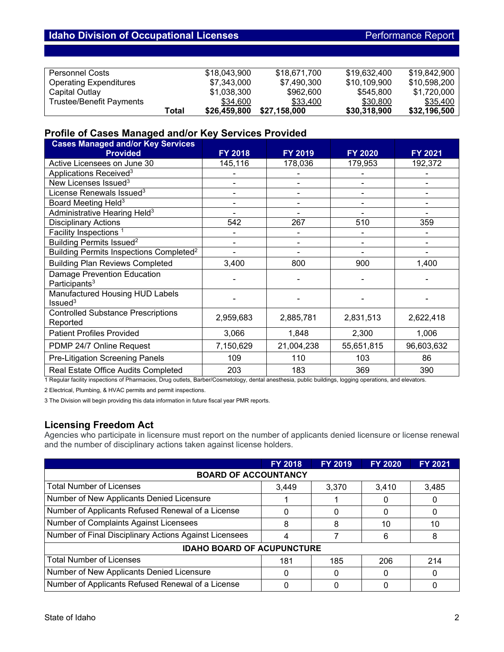| Personnel Costs               |       | \$18,043,900 | \$18,671,700 | \$19,632,400 | \$19.842.900 |
|-------------------------------|-------|--------------|--------------|--------------|--------------|
| <b>Operating Expenditures</b> |       | \$7,343,000  | \$7,490,300  | \$10,109,900 | \$10.598.200 |
| Capital Outlay                |       | \$1,038,300  | \$962,600    | \$545,800    | \$1,720,000  |
| Trustee/Benefit Payments      |       | \$34,600     | \$33,400     | \$30,800     | \$35,400     |
|                               | Total | \$26,459,800 | \$27.158.000 | \$30,318,900 | \$32,196,500 |

## **Profile of Cases Managed and/or Key Services Provided**

| <b>Cases Managed and/or Key Services</b><br><b>Provided</b>     | FY 2018   | <b>FY 2019</b> | <b>FY 2020</b> | <b>FY 2021</b> |
|-----------------------------------------------------------------|-----------|----------------|----------------|----------------|
| Active Licensees on June 30                                     | 145,116   | 178,036        | 179,953        | 192,372        |
| Applications Received <sup>3</sup>                              |           |                |                |                |
| New Licenses Issued <sup>3</sup>                                |           |                |                |                |
| License Renewals Issued <sup>3</sup>                            |           |                |                |                |
| Board Meeting Held <sup>3</sup>                                 |           |                |                |                |
| Administrative Hearing Held <sup>3</sup>                        |           |                |                |                |
| <b>Disciplinary Actions</b>                                     | 542       | 267            | 510            | 359            |
| Facility Inspections <sup>1</sup>                               |           |                |                |                |
| Building Permits Issued <sup>2</sup>                            | ۰         |                |                |                |
| Building Permits Inspections Completed <sup>2</sup>             |           |                |                |                |
| <b>Building Plan Reviews Completed</b>                          | 3,400     | 800            | 900            | 1,400          |
| <b>Damage Prevention Education</b><br>Participants <sup>3</sup> |           |                |                |                |
| Manufactured Housing HUD Labels<br>Is sued <sup>3</sup>         |           |                |                |                |
| <b>Controlled Substance Prescriptions</b><br>Reported           | 2,959,683 | 2,885,781      | 2,831,513      | 2,622,418      |
| <b>Patient Profiles Provided</b>                                | 3,066     | 1,848          | 2,300          | 1,006          |
| PDMP 24/7 Online Request                                        | 7,150,629 | 21,004,238     | 55,651,815     | 96,603,632     |
| <b>Pre-Litigation Screening Panels</b>                          | 109       | 110            | 103            | 86             |
| Real Estate Office Audits Completed                             | 203       | 183            | 369            | 390            |

1 Regular facility inspections of Pharmacies, Drug outlets, Barber/Cosmetology, dental anesthesia, public buildings, logging operations, and elevators.

2 Electrical, Plumbing, & HVAC permits and permit inspections.

3 The Division will begin providing this data information in future fiscal year PMR reports.

## **Licensing Freedom Act**

Agencies who participate in licensure must report on the number of applicants denied licensure or license renewal and the number of disciplinary actions taken against license holders.

|                                                        | <b>FY 2018</b> | <b>FY 2019</b> | <b>FY 2020</b> | <b>FY 2021</b> |  |  |  |
|--------------------------------------------------------|----------------|----------------|----------------|----------------|--|--|--|
| <b>BOARD OF ACCOUNTANCY</b>                            |                |                |                |                |  |  |  |
| <b>Total Number of Licenses</b>                        | 3,449          | 3,370          | 3,410          | 3,485          |  |  |  |
| Number of New Applicants Denied Licensure              |                |                |                |                |  |  |  |
| Number of Applicants Refused Renewal of a License      | 0              | 0              |                |                |  |  |  |
| Number of Complaints Against Licensees                 | 8              | 8              | 10             | 10             |  |  |  |
| Number of Final Disciplinary Actions Against Licensees |                |                | 6              | 8              |  |  |  |
| <b>IDAHO BOARD OF ACUPUNCTURE</b>                      |                |                |                |                |  |  |  |
| <b>Total Number of Licenses</b>                        | 181            | 185            | 206            | 214            |  |  |  |
| Number of New Applicants Denied Licensure              | 0              | 0              |                |                |  |  |  |
| Number of Applicants Refused Renewal of a License      |                | 0              |                |                |  |  |  |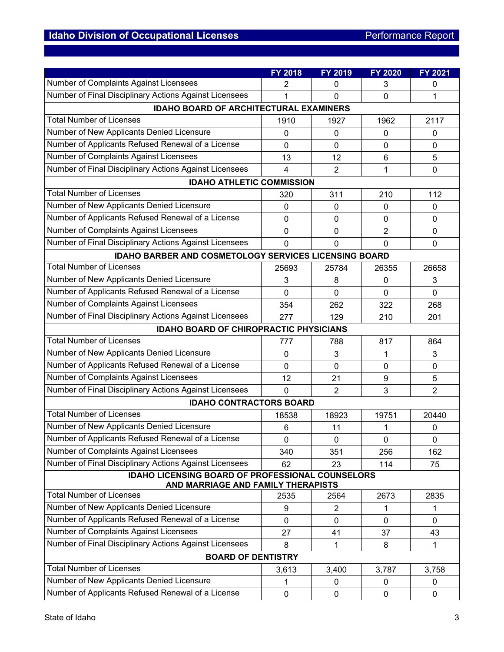|                                                                                               | FY 2018        | FY 2019        | <b>FY 2020</b> | <b>FY 2021</b> |  |
|-----------------------------------------------------------------------------------------------|----------------|----------------|----------------|----------------|--|
| Number of Complaints Against Licensees                                                        | 2              | 0              | 3              | 0              |  |
| Number of Final Disciplinary Actions Against Licensees                                        | 1              | 0              | $\mathbf 0$    | 1              |  |
| <b>IDAHO BOARD OF ARCHITECTURAL EXAMINERS</b>                                                 |                |                |                |                |  |
| <b>Total Number of Licenses</b>                                                               | 1910           | 1927           | 1962           | 2117           |  |
| Number of New Applicants Denied Licensure                                                     | 0              | 0              | $\mathbf{0}$   | 0              |  |
| Number of Applicants Refused Renewal of a License                                             | 0              | 0              | $\mathbf 0$    | 0              |  |
| Number of Complaints Against Licensees                                                        | 13             | 12             | 6              | 5              |  |
| Number of Final Disciplinary Actions Against Licensees                                        | 4              | $\overline{2}$ | 1              | 0              |  |
| <b>IDAHO ATHLETIC COMMISSION</b>                                                              |                |                |                |                |  |
| <b>Total Number of Licenses</b>                                                               | 320            | 311            | 210            | 112            |  |
| Number of New Applicants Denied Licensure                                                     | 0              | 0              | $\mathbf{0}$   | 0              |  |
| Number of Applicants Refused Renewal of a License                                             | 0              | 0              | $\mathbf 0$    | 0              |  |
| Number of Complaints Against Licensees                                                        | 0              | 0              | $\overline{2}$ | 0              |  |
| Number of Final Disciplinary Actions Against Licensees                                        | $\overline{0}$ | $\mathbf 0$    | $\overline{0}$ | 0              |  |
| IDAHO BARBER AND COSMETOLOGY SERVICES LICENSING BOARD                                         |                |                |                |                |  |
| <b>Total Number of Licenses</b>                                                               | 25693          | 25784          | 26355          | 26658          |  |
| Number of New Applicants Denied Licensure                                                     | 3              | 8              | 0              | 3              |  |
| Number of Applicants Refused Renewal of a License                                             | 0              | 0              | $\mathbf 0$    | 0              |  |
| Number of Complaints Against Licensees                                                        | 354            | 262            | 322            | 268            |  |
| Number of Final Disciplinary Actions Against Licensees                                        | 277            | 129            | 210            | 201            |  |
| <b>IDAHO BOARD OF CHIROPRACTIC PHYSICIANS</b>                                                 |                |                |                |                |  |
| <b>Total Number of Licenses</b>                                                               | 777            | 788            | 817            | 864            |  |
| Number of New Applicants Denied Licensure                                                     | 0              | 3              | 1              | 3              |  |
| Number of Applicants Refused Renewal of a License                                             | 0              | $\mathbf 0$    | $\mathbf 0$    | 0              |  |
| Number of Complaints Against Licensees                                                        | 12             | 21             | 9              | 5              |  |
| Number of Final Disciplinary Actions Against Licensees                                        | $\mathbf 0$    | $\overline{2}$ | 3              | $\overline{2}$ |  |
| <b>IDAHO CONTRACTORS BOARD</b>                                                                |                |                |                |                |  |
| <b>Total Number of Licenses</b>                                                               | 18538          | 18923          | 19751          | 20440          |  |
| Number of New Applicants Denied Licensure                                                     | 6              | 11             | 1              | 0              |  |
| Number of Applicants Refused Renewal of a License                                             | 0              | 0              | 0              | 0              |  |
| Number of Complaints Against Licensees                                                        | 340            | 351            | 256            | 162            |  |
| Number of Final Disciplinary Actions Against Licensees                                        | 62             | 23             | 114            | 75             |  |
| <b>IDAHO LICENSING BOARD OF PROFESSIONAL COUNSELORS</b><br>AND MARRIAGE AND FAMILY THERAPISTS |                |                |                |                |  |
| <b>Total Number of Licenses</b>                                                               | 2535           | 2564           | 2673           | 2835           |  |
| Number of New Applicants Denied Licensure                                                     | 9              | $\overline{2}$ | 1              | 1              |  |
| Number of Applicants Refused Renewal of a License                                             | 0              | 0              | $\mathbf{0}$   | 0              |  |
| Number of Complaints Against Licensees                                                        | 27             | 41             | 37             | 43             |  |
| Number of Final Disciplinary Actions Against Licensees                                        | 8              | $\mathbf 1$    | 8              | 1              |  |
| <b>BOARD OF DENTISTRY</b>                                                                     |                |                |                |                |  |
| <b>Total Number of Licenses</b>                                                               | 3,613          | 3,400          | 3,787          | 3,758          |  |
| Number of New Applicants Denied Licensure                                                     | 1              | 0              | 0              | 0              |  |
| Number of Applicants Refused Renewal of a License                                             | $\pmb{0}$      | $\pmb{0}$      | $\mathbf 0$    | 0              |  |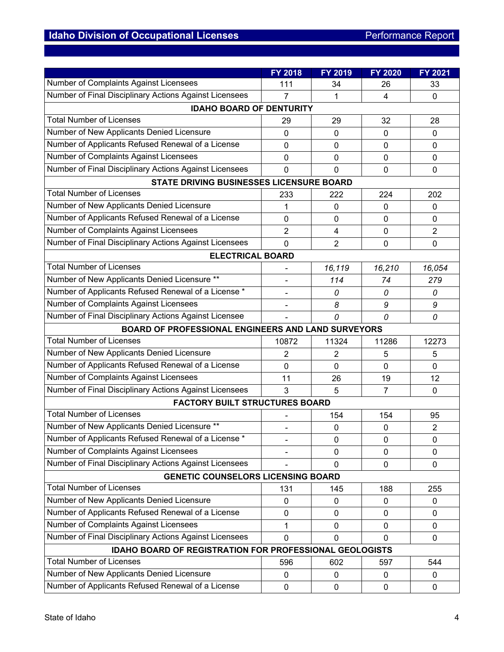|                                                                                       | <b>FY 2018</b> | FY 2019        | FY 2020        | FY 2021        |  |  |
|---------------------------------------------------------------------------------------|----------------|----------------|----------------|----------------|--|--|
| Number of Complaints Against Licensees                                                | 111            | 34             | 26             | 33             |  |  |
| Number of Final Disciplinary Actions Against Licensees                                | 7              | 1              | 4              | 0              |  |  |
| <b>IDAHO BOARD OF DENTURITY</b>                                                       |                |                |                |                |  |  |
| <b>Total Number of Licenses</b>                                                       | 29             | 29             | 32             | 28             |  |  |
| Number of New Applicants Denied Licensure                                             | 0              | $\Omega$       | $\Omega$       | 0              |  |  |
| Number of Applicants Refused Renewal of a License                                     | 0              | 0              | $\mathbf 0$    | 0              |  |  |
| Number of Complaints Against Licensees                                                | 0              | 0              | $\mathbf 0$    | 0              |  |  |
| Number of Final Disciplinary Actions Against Licensees                                | 0              | 0              | $\mathbf 0$    | 0              |  |  |
| STATE DRIVING BUSINESSES LICENSURE BOARD                                              |                |                |                |                |  |  |
| <b>Total Number of Licenses</b>                                                       | 233            | 222            | 224            | 202            |  |  |
| Number of New Applicants Denied Licensure                                             | 1              | $\mathbf 0$    | $\mathbf 0$    | 0              |  |  |
| Number of Applicants Refused Renewal of a License                                     | 0              | 0              | $\mathbf 0$    | 0              |  |  |
| Number of Complaints Against Licensees                                                | $\overline{2}$ | 4              | $\mathbf 0$    | $\overline{2}$ |  |  |
| Number of Final Disciplinary Actions Against Licensees                                | 0              | $\overline{2}$ | $\mathbf 0$    | $\mathbf 0$    |  |  |
| <b>ELECTRICAL BOARD</b>                                                               |                |                |                |                |  |  |
| <b>Total Number of Licenses</b>                                                       |                | 16,119         | 16,210         | 16,054         |  |  |
| Number of New Applicants Denied Licensure **                                          |                | 114            | 74             | 279            |  |  |
| Number of Applicants Refused Renewal of a License *                                   |                | 0              | 0              | 0              |  |  |
| Number of Complaints Against Licensees                                                | $\overline{a}$ | 8              | 9              | 9              |  |  |
| Number of Final Disciplinary Actions Against Licensee                                 |                | 0              | 0              | 0              |  |  |
| BOARD OF PROFESSIONAL ENGINEERS AND LAND SURVEYORS                                    |                |                |                |                |  |  |
| <b>Total Number of Licenses</b>                                                       | 10872          | 11324          | 11286          | 12273          |  |  |
| Number of New Applicants Denied Licensure                                             | 2              | $\overline{2}$ | 5              | 5              |  |  |
| Number of Applicants Refused Renewal of a License                                     | 0              | 0              | $\Omega$       | 0              |  |  |
| Number of Complaints Against Licensees                                                | 11             | 26             | 19             | 12             |  |  |
| Number of Final Disciplinary Actions Against Licensees                                | 3              | 5              | $\overline{7}$ | 0              |  |  |
| <b>FACTORY BUILT STRUCTURES BOARD</b>                                                 |                |                |                |                |  |  |
| <b>Total Number of Licenses</b>                                                       |                | 154            | 154            | 95             |  |  |
| Number of New Applicants Denied Licensure **                                          |                | $\mathbf 0$    | 0              | $\overline{2}$ |  |  |
| Number of Applicants Refused Renewal of a License *                                   |                | 0              | 0              | 0              |  |  |
| Number of Complaints Against Licensees                                                |                | 0              | $\mathbf{0}$   | 0              |  |  |
| Number of Final Disciplinary Actions Against Licensees                                |                | 0              | $\mathbf{0}$   | 0              |  |  |
| <b>GENETIC COUNSELORS LICENSING BOARD</b>                                             |                |                |                |                |  |  |
| <b>Total Number of Licenses</b>                                                       | 131            | 145            | 188            | 255            |  |  |
| Number of New Applicants Denied Licensure                                             | 0              | 0              | 0              | 0              |  |  |
| Number of Applicants Refused Renewal of a License                                     | 0              | 0              | 0              | 0              |  |  |
| <b>Number of Complaints Against Licensees</b>                                         | 1              | 0              | $\mathbf 0$    | 0              |  |  |
| Number of Final Disciplinary Actions Against Licensees<br>0<br>0<br>$\mathbf{0}$<br>0 |                |                |                |                |  |  |
| IDAHO BOARD OF REGISTRATION FOR PROFESSIONAL GEOLOGISTS                               |                |                |                |                |  |  |
| <b>Total Number of Licenses</b>                                                       | 596            | 602            | 597            | 544            |  |  |
| Number of New Applicants Denied Licensure                                             | 0              | 0              | 0              | 0              |  |  |
| Number of Applicants Refused Renewal of a License                                     | $\pmb{0}$      | 0              | $\mathbf 0$    | 0              |  |  |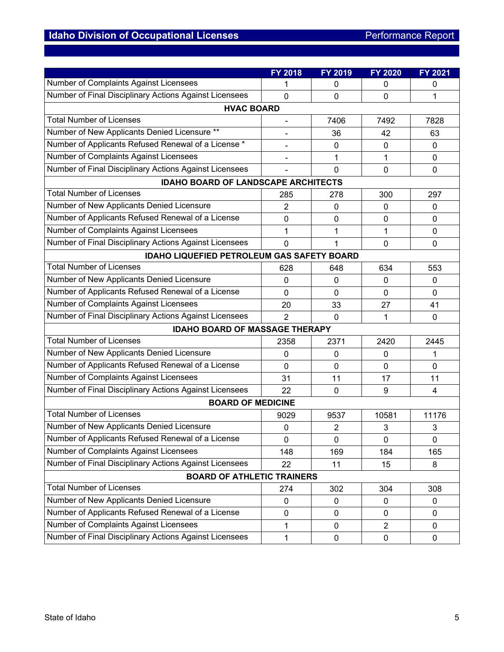|                                                        | <b>FY 2018</b> | FY 2019     | <b>FY 2020</b> | FY 2021        |  |  |  |  |
|--------------------------------------------------------|----------------|-------------|----------------|----------------|--|--|--|--|
| Number of Complaints Against Licensees                 | 1              | 0           | 0              | 0              |  |  |  |  |
| Number of Final Disciplinary Actions Against Licensees | 0              | 0           | $\mathbf 0$    | 1              |  |  |  |  |
| <b>HVAC BOARD</b>                                      |                |             |                |                |  |  |  |  |
| <b>Total Number of Licenses</b>                        |                | 7406        | 7492           | 7828           |  |  |  |  |
| Number of New Applicants Denied Licensure **           |                | 36          | 42             | 63             |  |  |  |  |
| Number of Applicants Refused Renewal of a License *    |                | $\mathbf 0$ | $\mathbf 0$    | 0              |  |  |  |  |
| <b>Number of Complaints Against Licensees</b>          | -              | 1           | 1              | 0              |  |  |  |  |
| Number of Final Disciplinary Actions Against Licensees |                | 0           | $\mathbf 0$    | $\overline{0}$ |  |  |  |  |
| <b>IDAHO BOARD OF LANDSCAPE ARCHITECTS</b>             |                |             |                |                |  |  |  |  |
| <b>Total Number of Licenses</b>                        | 285            | 278         | 300            | 297            |  |  |  |  |
| Number of New Applicants Denied Licensure              | $\overline{2}$ | 0           | $\mathbf{0}$   | 0              |  |  |  |  |
| Number of Applicants Refused Renewal of a License      | 0              | 0           | $\mathbf 0$    | 0              |  |  |  |  |
| Number of Complaints Against Licensees                 | 1              | 1           | 1              | 0              |  |  |  |  |
| Number of Final Disciplinary Actions Against Licensees | $\overline{0}$ | 1           | $\mathbf 0$    | 0              |  |  |  |  |
| <b>IDAHO LIQUEFIED PETROLEUM GAS SAFETY BOARD</b>      |                |             |                |                |  |  |  |  |
| <b>Total Number of Licenses</b>                        | 628            | 648         | 634            | 553            |  |  |  |  |
| Number of New Applicants Denied Licensure              | 0              | 0           | 0              | 0              |  |  |  |  |
| Number of Applicants Refused Renewal of a License      | 0              | 0           | $\Omega$       | 0              |  |  |  |  |
| Number of Complaints Against Licensees                 | 20             | 33          | 27             | 41             |  |  |  |  |
| Number of Final Disciplinary Actions Against Licensees | $\overline{2}$ | $\mathbf 0$ | 1              | 0              |  |  |  |  |
| <b>IDAHO BOARD OF MASSAGE THERAPY</b>                  |                |             |                |                |  |  |  |  |
| <b>Total Number of Licenses</b>                        | 2358           | 2371        | 2420           | 2445           |  |  |  |  |
| Number of New Applicants Denied Licensure              | 0              | 0           | 0              | 1              |  |  |  |  |
| Number of Applicants Refused Renewal of a License      | 0              | 0           | $\Omega$       | 0              |  |  |  |  |
| Number of Complaints Against Licensees                 | 31             | 11          | 17             | 11             |  |  |  |  |
| Number of Final Disciplinary Actions Against Licensees | 22             | $\mathbf 0$ | 9              | $\overline{4}$ |  |  |  |  |
| <b>BOARD OF MEDICINE</b>                               |                |             |                |                |  |  |  |  |
| <b>Total Number of Licenses</b>                        | 9029           | 9537        | 10581          | 11176          |  |  |  |  |
| Number of New Applicants Denied Licensure              | 0              | 2           | 3              | 3              |  |  |  |  |
| Number of Applicants Refused Renewal of a License      | 0              | $\pmb{0}$   | 0              | 0              |  |  |  |  |
| Number of Complaints Against Licensees                 | 148            | 169         | 184            | 165            |  |  |  |  |
| Number of Final Disciplinary Actions Against Licensees | 22             | 11          | 15             | 8              |  |  |  |  |
| <b>BOARD OF ATHLETIC TRAINERS</b>                      |                |             |                |                |  |  |  |  |
| <b>Total Number of Licenses</b>                        | 274            | 302         | 304            | 308            |  |  |  |  |
| Number of New Applicants Denied Licensure              | $\pmb{0}$      | $\pmb{0}$   | $\mathbf 0$    | 0              |  |  |  |  |
| Number of Applicants Refused Renewal of a License      | 0              | 0           | $\mathbf{0}$   | 0              |  |  |  |  |
| Number of Complaints Against Licensees                 | 1              | $\pmb{0}$   | $\overline{2}$ | 0              |  |  |  |  |
| Number of Final Disciplinary Actions Against Licensees | $\mathbf{1}$   | $\pmb{0}$   | $\pmb{0}$      | 0              |  |  |  |  |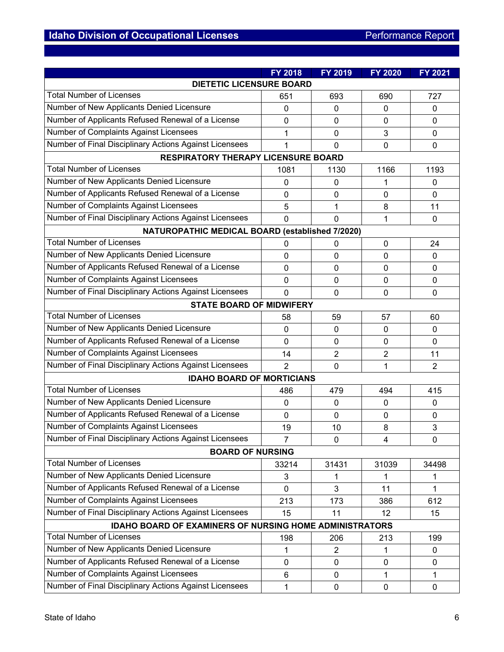|                                                                | <b>FY 2018</b> | FY 2019          | <b>FY 2020</b> | <b>FY 2021</b> |  |  |  |
|----------------------------------------------------------------|----------------|------------------|----------------|----------------|--|--|--|
| <b>DIETETIC LICENSURE BOARD</b>                                |                |                  |                |                |  |  |  |
| <b>Total Number of Licenses</b>                                | 651            | 693              | 690            | 727            |  |  |  |
| Number of New Applicants Denied Licensure                      | $\mathbf 0$    | 0                | $\mathbf 0$    | 0              |  |  |  |
| Number of Applicants Refused Renewal of a License              | 0              | 0                | $\mathbf 0$    | 0              |  |  |  |
| Number of Complaints Against Licensees                         | 1              | 0                | 3              | 0              |  |  |  |
| Number of Final Disciplinary Actions Against Licensees         | 1              | 0                | $\mathbf 0$    | 0              |  |  |  |
| <b>RESPIRATORY THERAPY LICENSURE BOARD</b>                     |                |                  |                |                |  |  |  |
| <b>Total Number of Licenses</b>                                | 1081           | 1130             | 1166           | 1193           |  |  |  |
| Number of New Applicants Denied Licensure                      | 0              | $\mathbf 0$      | 1              | 0              |  |  |  |
| Number of Applicants Refused Renewal of a License              | 0              | $\mathbf 0$      | $\mathbf 0$    | $\Omega$       |  |  |  |
| Number of Complaints Against Licensees                         | 5              | 1                | 8              | 11             |  |  |  |
| Number of Final Disciplinary Actions Against Licensees         | 0              | $\mathbf 0$      | 1              | 0              |  |  |  |
| NATUROPATHIC MEDICAL BOARD (established 7/2020)                |                |                  |                |                |  |  |  |
| <b>Total Number of Licenses</b>                                | 0              | 0                | 0              | 24             |  |  |  |
| Number of New Applicants Denied Licensure                      | 0              | 0                | $\mathbf 0$    | $\Omega$       |  |  |  |
| Number of Applicants Refused Renewal of a License              | 0              | 0                | $\mathbf{0}$   | 0              |  |  |  |
| Number of Complaints Against Licensees                         | 0              | $\mathbf 0$      | $\mathbf 0$    | 0              |  |  |  |
| Number of Final Disciplinary Actions Against Licensees         | 0              | $\mathbf 0$      | $\mathbf 0$    | 0              |  |  |  |
| <b>STATE BOARD OF MIDWIFERY</b>                                |                |                  |                |                |  |  |  |
| <b>Total Number of Licenses</b>                                | 58             | 59               | 57             | 60             |  |  |  |
| Number of New Applicants Denied Licensure                      | 0              | 0                | $\mathbf{0}$   | 0              |  |  |  |
| Number of Applicants Refused Renewal of a License              | 0              | 0                | $\mathbf 0$    | 0              |  |  |  |
| Number of Complaints Against Licensees                         | 14             | 2                | $\overline{2}$ | 11             |  |  |  |
| Number of Final Disciplinary Actions Against Licensees         | $\overline{2}$ | $\mathbf 0$      | 1              | $\overline{2}$ |  |  |  |
| <b>IDAHO BOARD OF MORTICIANS</b>                               |                |                  |                |                |  |  |  |
| <b>Total Number of Licenses</b>                                | 486            | 479              | 494            | 415            |  |  |  |
| Number of New Applicants Denied Licensure                      | 0              | 0                | $\mathbf 0$    | 0              |  |  |  |
| Number of Applicants Refused Renewal of a License              | 0              | 0                | $\mathbf{0}$   | 0              |  |  |  |
| Number of Complaints Against Licensees                         | 19             | 10               | 8              | 3              |  |  |  |
| Number of Final Disciplinary Actions Against Licensees         | $\overline{7}$ | 0                | 4              | 0              |  |  |  |
| <b>BOARD OF NURSING</b>                                        |                |                  |                |                |  |  |  |
| <b>Total Number of Licenses</b>                                | 33214          | 31431            | 31039          | 34498          |  |  |  |
| Number of New Applicants Denied Licensure                      | 3              | 1                | 1              | 1              |  |  |  |
| Number of Applicants Refused Renewal of a License              | $\overline{0}$ | 3                | 11             | 1              |  |  |  |
| Number of Complaints Against Licensees                         | 213            | 173              | 386            | 612            |  |  |  |
| Number of Final Disciplinary Actions Against Licensees         | 15             | 11               | 12             | 15             |  |  |  |
| <b>IDAHO BOARD OF EXAMINERS OF NURSING HOME ADMINISTRATORS</b> |                |                  |                |                |  |  |  |
| <b>Total Number of Licenses</b>                                | 198            | 206              | 213            | 199            |  |  |  |
| Number of New Applicants Denied Licensure                      | 1              | $\overline{2}$   | 1              | 0              |  |  |  |
| Number of Applicants Refused Renewal of a License              | 0              | $\mathbf 0$      | $\mathbf 0$    | 0              |  |  |  |
| Number of Complaints Against Licensees                         | 6              | 0                | 1              | 1              |  |  |  |
| Number of Final Disciplinary Actions Against Licensees         | 1              | $\boldsymbol{0}$ | $\mathbf 0$    | 0              |  |  |  |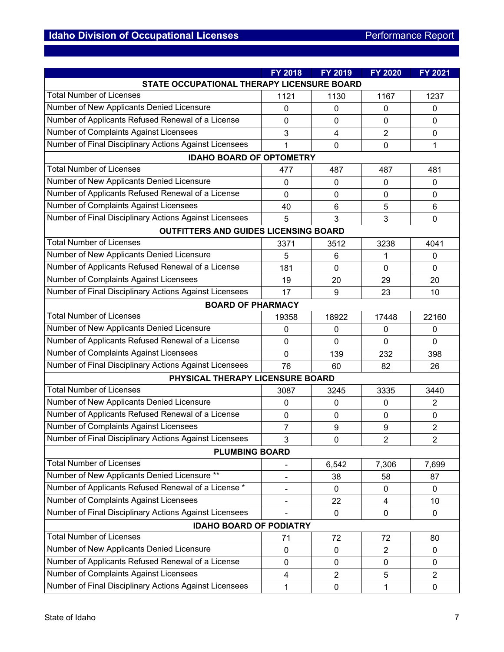|                                                        | FY 2018        | <b>FY 2019</b>          | <b>FY 2020</b> | FY 2021        |  |  |  |
|--------------------------------------------------------|----------------|-------------------------|----------------|----------------|--|--|--|
| STATE OCCUPATIONAL THERAPY LICENSURE BOARD             |                |                         |                |                |  |  |  |
| <b>Total Number of Licenses</b>                        | 1121           | 1130                    | 1167           | 1237           |  |  |  |
| Number of New Applicants Denied Licensure              | $\mathbf{0}$   | 0                       | 0              | 0              |  |  |  |
| Number of Applicants Refused Renewal of a License      | 0              | 0                       | $\mathbf{0}$   | 0              |  |  |  |
| Number of Complaints Against Licensees                 | 3              | $\overline{\mathbf{4}}$ | $\overline{2}$ | 0              |  |  |  |
| Number of Final Disciplinary Actions Against Licensees | 1              | 0                       | $\overline{0}$ | 1              |  |  |  |
| <b>IDAHO BOARD OF OPTOMETRY</b>                        |                |                         |                |                |  |  |  |
| <b>Total Number of Licenses</b>                        | 477            | 487                     | 487            | 481            |  |  |  |
| Number of New Applicants Denied Licensure              | $\mathbf 0$    | 0                       | 0              | 0              |  |  |  |
| Number of Applicants Refused Renewal of a License      | $\mathbf 0$    | 0                       | $\mathbf{0}$   | 0              |  |  |  |
| Number of Complaints Against Licensees                 | 40             | 6                       | 5              | 6              |  |  |  |
| Number of Final Disciplinary Actions Against Licensees | 5              | 3                       | 3              | 0              |  |  |  |
| <b>OUTFITTERS AND GUIDES LICENSING BOARD</b>           |                |                         |                |                |  |  |  |
| <b>Total Number of Licenses</b>                        | 3371           | 3512                    | 3238           | 4041           |  |  |  |
| Number of New Applicants Denied Licensure              | 5              | 6                       | 1              | 0              |  |  |  |
| Number of Applicants Refused Renewal of a License      | 181            | 0                       | $\mathbf{0}$   | 0              |  |  |  |
| Number of Complaints Against Licensees                 | 19             | 20                      | 29             | 20             |  |  |  |
| Number of Final Disciplinary Actions Against Licensees | 17             | 9                       | 23             | 10             |  |  |  |
| <b>BOARD OF PHARMACY</b>                               |                |                         |                |                |  |  |  |
| <b>Total Number of Licenses</b>                        | 19358          | 18922                   | 17448          | 22160          |  |  |  |
| Number of New Applicants Denied Licensure              | $\mathbf 0$    | 0                       | 0              | 0              |  |  |  |
| Number of Applicants Refused Renewal of a License      | $\mathbf 0$    | 0                       | $\mathbf{0}$   | 0              |  |  |  |
| Number of Complaints Against Licensees                 | $\overline{0}$ | 139                     | 232            | 398            |  |  |  |
| Number of Final Disciplinary Actions Against Licensees | 76             | 60                      | 82             | 26             |  |  |  |
| PHYSICAL THERAPY LICENSURE BOARD                       |                |                         |                |                |  |  |  |
| <b>Total Number of Licenses</b>                        | 3087           | 3245                    | 3335           | 3440           |  |  |  |
| Number of New Applicants Denied Licensure              | $\mathbf{0}$   | 0                       | $\mathbf 0$    | $\overline{2}$ |  |  |  |
| Number of Applicants Refused Renewal of a License      | $\mathbf 0$    | 0                       | 0              | 0              |  |  |  |
| Number of Complaints Against Licensees                 | $\overline{7}$ | 9                       | 9              | $\overline{2}$ |  |  |  |
| Number of Final Disciplinary Actions Against Licensees | 3              | 0                       | $\overline{2}$ | $\overline{2}$ |  |  |  |
| <b>PLUMBING BOARD</b>                                  |                |                         |                |                |  |  |  |
| <b>Total Number of Licenses</b>                        |                | 6,542                   | 7,306          | 7,699          |  |  |  |
| Number of New Applicants Denied Licensure **           |                | 38                      | 58             | 87             |  |  |  |
| Number of Applicants Refused Renewal of a License *    |                | 0                       | $\mathbf 0$    | 0              |  |  |  |
| Number of Complaints Against Licensees                 |                | 22                      | $\overline{4}$ | 10             |  |  |  |
| Number of Final Disciplinary Actions Against Licensees |                | 0                       | $\mathbf 0$    | $\pmb{0}$      |  |  |  |
| <b>IDAHO BOARD OF PODIATRY</b>                         |                |                         |                |                |  |  |  |
| <b>Total Number of Licenses</b>                        | 71             | 72                      | 72             | 80             |  |  |  |
| Number of New Applicants Denied Licensure              | $\mathbf{0}$   | 0                       | $\overline{2}$ | 0              |  |  |  |
| Number of Applicants Refused Renewal of a License      | $\mathbf 0$    | 0                       | $\mathbf 0$    | 0              |  |  |  |
| Number of Complaints Against Licensees                 | 4              | $\overline{2}$          | 5              | $\overline{2}$ |  |  |  |
| Number of Final Disciplinary Actions Against Licensees | 1              | $\pmb{0}$               | 1              | 0              |  |  |  |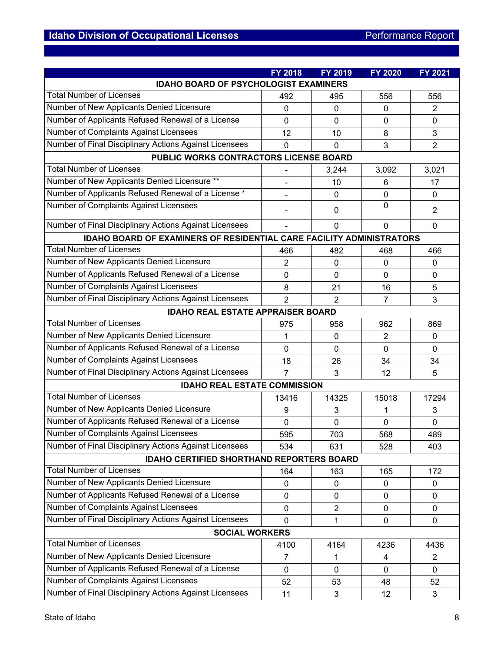|                                                                             | FY 2018        | <b>FY 2019</b> | <b>FY 2020</b> | <b>FY 2021</b> |  |  |  |
|-----------------------------------------------------------------------------|----------------|----------------|----------------|----------------|--|--|--|
| <b>IDAHO BOARD OF PSYCHOLOGIST EXAMINERS</b>                                |                |                |                |                |  |  |  |
| <b>Total Number of Licenses</b>                                             | 492            | 495            | 556            | 556            |  |  |  |
| Number of New Applicants Denied Licensure                                   | $\mathbf{0}$   | 0              | $\mathbf{0}$   | 2              |  |  |  |
| Number of Applicants Refused Renewal of a License                           | 0              | 0              | $\mathbf{0}$   | 0              |  |  |  |
| Number of Complaints Against Licensees                                      | 12             | 10             | 8              | 3              |  |  |  |
| Number of Final Disciplinary Actions Against Licensees                      | $\overline{0}$ | 0              | 3              | $\overline{2}$ |  |  |  |
| PUBLIC WORKS CONTRACTORS LICENSE BOARD                                      |                |                |                |                |  |  |  |
| <b>Total Number of Licenses</b>                                             |                | 3,244          | 3,092          | 3,021          |  |  |  |
| Number of New Applicants Denied Licensure **                                |                | 10             | 6              | 17             |  |  |  |
| Number of Applicants Refused Renewal of a License *                         |                | $\mathbf 0$    | $\mathbf 0$    | 0              |  |  |  |
| Number of Complaints Against Licensees                                      |                | 0              | $\mathbf{0}$   | $\overline{2}$ |  |  |  |
| Number of Final Disciplinary Actions Against Licensees                      |                | 0              | $\mathbf 0$    | $\mathbf{0}$   |  |  |  |
| <b>IDAHO BOARD OF EXAMINERS OF RESIDENTIAL CARE FACILITY ADMINISTRATORS</b> |                |                |                |                |  |  |  |
| <b>Total Number of Licenses</b>                                             | 466            | 482            | 468            | 466            |  |  |  |
| Number of New Applicants Denied Licensure                                   | $\overline{2}$ | 0              | 0              | 0              |  |  |  |
| Number of Applicants Refused Renewal of a License                           | 0              | 0              | $\mathbf 0$    | 0              |  |  |  |
| Number of Complaints Against Licensees                                      | 8              | 21             | 16             | 5              |  |  |  |
| Number of Final Disciplinary Actions Against Licensees                      | $\overline{2}$ | $\overline{2}$ | $\overline{7}$ | 3              |  |  |  |
| <b>IDAHO REAL ESTATE APPRAISER BOARD</b>                                    |                |                |                |                |  |  |  |
| <b>Total Number of Licenses</b>                                             | 975            | 958            | 962            | 869            |  |  |  |
| Number of New Applicants Denied Licensure                                   | 1              | 0              | 2              | 0              |  |  |  |
| Number of Applicants Refused Renewal of a License                           | $\overline{0}$ | 0              | $\mathbf 0$    | $\Omega$       |  |  |  |
| Number of Complaints Against Licensees                                      | 18             | 26             | 34             | 34             |  |  |  |
| Number of Final Disciplinary Actions Against Licensees                      | $\overline{7}$ | 3              | 12             | 5              |  |  |  |
| <b>IDAHO REAL ESTATE COMMISSION</b>                                         |                |                |                |                |  |  |  |
| <b>Total Number of Licenses</b>                                             | 13416          | 14325          | 15018          | 17294          |  |  |  |
| Number of New Applicants Denied Licensure                                   | 9              | 3              | 1              | 3              |  |  |  |
| Number of Applicants Refused Renewal of a License                           | $\mathbf 0$    | 0              | 0              | 0              |  |  |  |
| Number of Complaints Against Licensees                                      | 595            | 703            | 568            | 489            |  |  |  |
| Number of Final Disciplinary Actions Against Licensees                      | 534            | 631            | 528            | 403            |  |  |  |
| <b>IDAHO CERTIFIED SHORTHAND REPORTERS BOARD</b>                            |                |                |                |                |  |  |  |
| <b>Total Number of Licenses</b>                                             | 164            | 163            | 165            | 172            |  |  |  |
| Number of New Applicants Denied Licensure                                   | $\pmb{0}$      | 0              | 0              | 0              |  |  |  |
| Number of Applicants Refused Renewal of a License                           | $\mathbf 0$    | $\mathbf 0$    | $\mathbf 0$    | 0              |  |  |  |
| Number of Complaints Against Licensees                                      | $\mathbf 0$    | $\overline{c}$ | $\mathbf 0$    | $\pmb{0}$      |  |  |  |
| Number of Final Disciplinary Actions Against Licensees                      | $\mathbf 0$    | 1              | $\mathbf 0$    | 0              |  |  |  |
| <b>SOCIAL WORKERS</b>                                                       |                |                |                |                |  |  |  |
| <b>Total Number of Licenses</b>                                             | 4100           | 4164           | 4236           | 4436           |  |  |  |
| Number of New Applicants Denied Licensure                                   | $\overline{7}$ | 1              | 4              | $\overline{2}$ |  |  |  |
| Number of Applicants Refused Renewal of a License                           | $\mathbf 0$    | $\Omega$       | $\mathbf 0$    | 0              |  |  |  |
| Number of Complaints Against Licensees                                      | 52             | 53             | 48             | 52             |  |  |  |
| Number of Final Disciplinary Actions Against Licensees                      | 11             | 3              | 12             | 3              |  |  |  |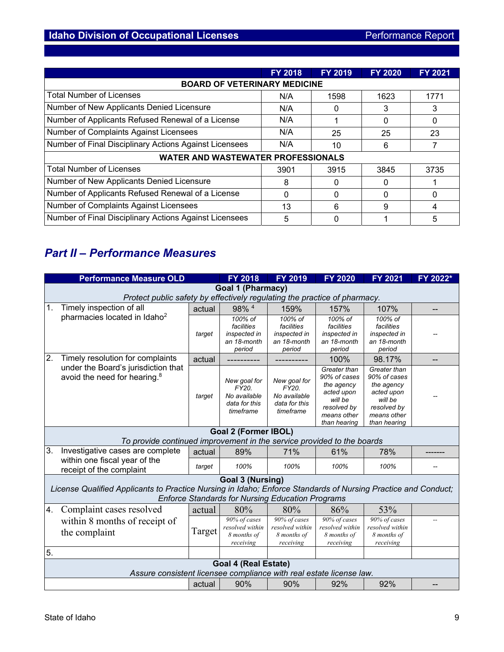|                                                        | <b>FY 2018</b> | <b>FY 2019</b> | <b>FY 2020</b> | <b>FY 2021</b> |  |  |  |
|--------------------------------------------------------|----------------|----------------|----------------|----------------|--|--|--|
| <b>BOARD OF VETERINARY MEDICINE</b>                    |                |                |                |                |  |  |  |
| <b>Total Number of Licenses</b>                        | N/A            | 1598           | 1623           | 1771           |  |  |  |
| Number of New Applicants Denied Licensure              | N/A            | 0              | 3              | 3              |  |  |  |
| Number of Applicants Refused Renewal of a License      | N/A            |                | 0              | 0              |  |  |  |
| Number of Complaints Against Licensees                 | N/A            | 25             | 25             | 23             |  |  |  |
| Number of Final Disciplinary Actions Against Licensees | N/A            | 10             | 6              |                |  |  |  |
| <b>WATER AND WASTEWATER PROFESSIONALS</b>              |                |                |                |                |  |  |  |
| <b>Total Number of Licenses</b>                        | 3901           | 3915           | 3845           | 3735           |  |  |  |
| Number of New Applicants Denied Licensure              | 8              | 0              |                |                |  |  |  |
| Number of Applicants Refused Renewal of a License      | 0              | 0              |                | 0              |  |  |  |
| Number of Complaints Against Licensees                 | 13             | 6              | 9              | 4              |  |  |  |
| Number of Final Disciplinary Actions Against Licensees | 5              | 0              |                | 5              |  |  |  |

# *Part II – Performance Measures*

|    | <b>Performance Measure OLD</b>                                                                                |        | <b>FY 2018</b>                                                      | <b>FY 2019</b>                                                      | FY 2020                                                                                                           | <b>FY 2021</b>                                                                                                    | FY 2022* |
|----|---------------------------------------------------------------------------------------------------------------|--------|---------------------------------------------------------------------|---------------------------------------------------------------------|-------------------------------------------------------------------------------------------------------------------|-------------------------------------------------------------------------------------------------------------------|----------|
|    |                                                                                                               |        | Goal 1 (Pharmacy)                                                   |                                                                     |                                                                                                                   |                                                                                                                   |          |
|    | Protect public safety by effectively regulating the practice of pharmacy.                                     |        |                                                                     |                                                                     |                                                                                                                   |                                                                                                                   |          |
| 1. | Timely inspection of all                                                                                      | actual | 98% 4                                                               | 159%                                                                | 157%                                                                                                              | 107%                                                                                                              |          |
|    | pharmacies located in Idaho <sup>2</sup>                                                                      | target | 100% of<br>facilities<br>inspected in<br>an 18-month<br>period      | 100% of<br>facilities<br>inspected in<br>an 18-month<br>period      | 100% of<br>facilities<br>inspected in<br>an 18-month<br>period                                                    | 100% of<br>facilities<br>inspected in<br>an 18-month<br>period                                                    |          |
| 2. | Timely resolution for complaints                                                                              | actual |                                                                     |                                                                     | 100%                                                                                                              | 98.17%                                                                                                            |          |
|    | under the Board's jurisdiction that<br>avoid the need for hearing. <sup>8</sup>                               | target | New goal for<br>FY20.<br>No available<br>data for this<br>timeframe | New goal for<br>FY20.<br>No available<br>data for this<br>timeframe | Greater than<br>90% of cases<br>the agency<br>acted upon<br>will be<br>resolved by<br>means other<br>than hearing | Greater than<br>90% of cases<br>the agency<br>acted upon<br>will be<br>resolved by<br>means other<br>than hearing |          |
|    |                                                                                                               |        | <b>Goal 2 (Former IBOL)</b>                                         |                                                                     |                                                                                                                   |                                                                                                                   |          |
|    | To provide continued improvement in the service provided to the boards                                        |        |                                                                     |                                                                     |                                                                                                                   |                                                                                                                   |          |
| 3. | Investigative cases are complete                                                                              | actual | 89%                                                                 | 71%                                                                 | 61%                                                                                                               | 78%                                                                                                               |          |
|    | within one fiscal year of the<br>receipt of the complaint                                                     | target | 100%                                                                | 100%                                                                | 100%                                                                                                              | 100%                                                                                                              |          |
|    |                                                                                                               |        | Goal 3 (Nursing)                                                    |                                                                     |                                                                                                                   |                                                                                                                   |          |
|    | License Qualified Applicants to Practice Nursing in Idaho; Enforce Standards of Nursing Practice and Conduct; |        |                                                                     | <b>Enforce Standards for Nursing Education Programs</b>             |                                                                                                                   |                                                                                                                   |          |
| 4. | Complaint cases resolved                                                                                      | actual | 80%                                                                 | 80%                                                                 | 86%                                                                                                               | 53%                                                                                                               |          |
|    | within 8 months of receipt of<br>the complaint                                                                | Target | 90% of cases<br>resolved within<br>8 months of<br>receiving         | 90% of cases<br>resolved within<br>8 months of<br>receiving         | 90% of cases<br>resolved within<br>8 months of<br>receiving                                                       | 90% of cases<br>resolved within<br>8 months of<br>receiving                                                       |          |
| 5. |                                                                                                               |        |                                                                     |                                                                     |                                                                                                                   |                                                                                                                   |          |
|    | Assure consistent licensee compliance with real estate license law.                                           |        | <b>Goal 4 (Real Estate)</b>                                         |                                                                     |                                                                                                                   |                                                                                                                   |          |
|    |                                                                                                               | actual | 90%                                                                 | 90%                                                                 | 92%                                                                                                               | 92%                                                                                                               |          |